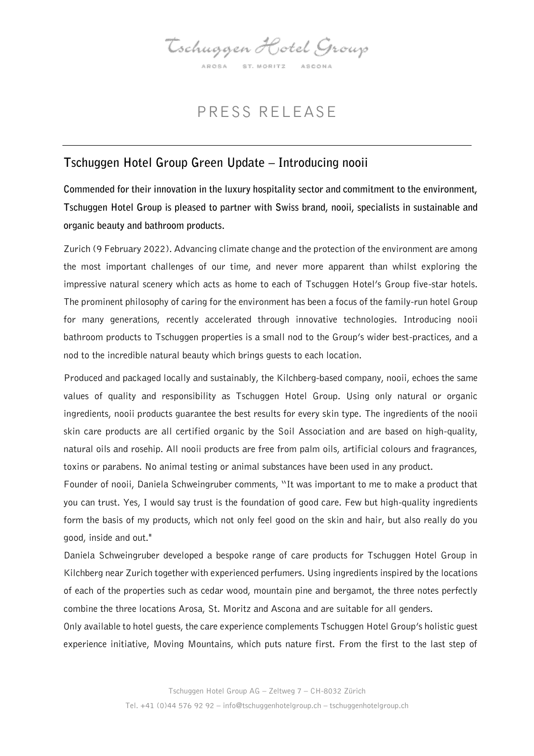Tschuggen Hotel Group AROSA ST. MORITZ ASCONA

## PRESS RELEASE

## Tschuggen Hotel Group Green Update – Introducing nooii

Commended for their innovation in the luxury hospitality sector and commitment to the environment, Tschuggen Hotel Group is pleased to partner with Swiss brand, nooii, specialists in sustainable and organic beauty and bathroom products.

Zurich (9 February 2022). Advancing climate change and the protection of the environment are among the most important challenges of our time, and never more apparent than whilst exploring the impressive natural scenery which acts as home to each of Tschuggen Hotel's Group five-star hotels. The prominent philosophy of caring for the environment has been a focus of the family-run hotel Group for many generations, recently accelerated through innovative technologies. Introducing nooii bathroom products to Tschuggen properties is a small nod to the Group's wider best-practices, and a nod to the incredible natural beauty which brings guests to each location.

Produced and packaged locally and sustainably, the Kilchberg-based company, nooii, echoes the same values of quality and responsibility as Tschuggen Hotel Group. Using only natural or organic ingredients, nooii products guarantee the best results for every skin type. The ingredients of the nooii skin care products are all certified organic by the Soil Association and are based on high-quality, natural oils and rosehip. All nooii products are free from palm oils, artificial colours and fragrances, toxins or parabens. No animal testing or animal substances have been used in any product.

Founder of nooii, Daniela Schweingruber comments, "It was important to me to make a product that you can trust. Yes, I would say trust is the foundation of good care. Few but high-quality ingredients form the basis of my products, which not only feel good on the skin and hair, but also really do you good, inside and out."

Daniela Schweingruber developed a bespoke range of care products for Tschuggen Hotel Group in Kilchberg near Zurich together with experienced perfumers. Using ingredients inspired by the locations of each of the properties such as cedar wood, mountain pine and bergamot, the three notes perfectly combine the three locations Arosa, St. Moritz and Ascona and are suitable for all genders.

Only available to hotel guests, the care experience complements Tschuggen Hotel Group's holistic guest experience initiative, Moving Mountains, which puts nature first. From the first to the last step of